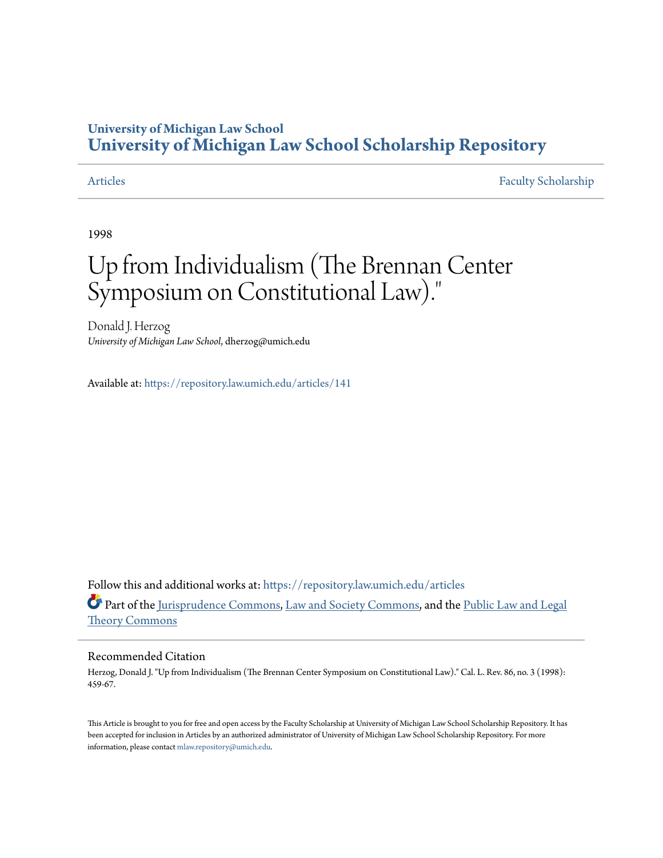# **University of Michigan Law School [University of Michigan Law School Scholarship Repository](https://repository.law.umich.edu?utm_source=repository.law.umich.edu%2Farticles%2F141&utm_medium=PDF&utm_campaign=PDFCoverPages)**

[Articles](https://repository.law.umich.edu/articles?utm_source=repository.law.umich.edu%2Farticles%2F141&utm_medium=PDF&utm_campaign=PDFCoverPages) [Faculty Scholarship](https://repository.law.umich.edu/faculty_scholarship?utm_source=repository.law.umich.edu%2Farticles%2F141&utm_medium=PDF&utm_campaign=PDFCoverPages)

1998

# Up from Individualism (The Brennan Center Symposium on Constitutional Law)."

Donald J. Herzog *University of Michigan Law School*, dherzog@umich.edu

Available at: <https://repository.law.umich.edu/articles/141>

Follow this and additional works at: [https://repository.law.umich.edu/articles](https://repository.law.umich.edu/articles?utm_source=repository.law.umich.edu%2Farticles%2F141&utm_medium=PDF&utm_campaign=PDFCoverPages) Part of the [Jurisprudence Commons,](http://network.bepress.com/hgg/discipline/610?utm_source=repository.law.umich.edu%2Farticles%2F141&utm_medium=PDF&utm_campaign=PDFCoverPages) [Law and Society Commons](http://network.bepress.com/hgg/discipline/853?utm_source=repository.law.umich.edu%2Farticles%2F141&utm_medium=PDF&utm_campaign=PDFCoverPages), and the [Public Law and Legal](http://network.bepress.com/hgg/discipline/871?utm_source=repository.law.umich.edu%2Farticles%2F141&utm_medium=PDF&utm_campaign=PDFCoverPages) [Theory Commons](http://network.bepress.com/hgg/discipline/871?utm_source=repository.law.umich.edu%2Farticles%2F141&utm_medium=PDF&utm_campaign=PDFCoverPages)

### Recommended Citation

Herzog, Donald J. "Up from Individualism (The Brennan Center Symposium on Constitutional Law)." Cal. L. Rev. 86, no. 3 (1998): 459-67.

This Article is brought to you for free and open access by the Faculty Scholarship at University of Michigan Law School Scholarship Repository. It has been accepted for inclusion in Articles by an authorized administrator of University of Michigan Law School Scholarship Repository. For more information, please contact [mlaw.repository@umich.edu.](mailto:mlaw.repository@umich.edu)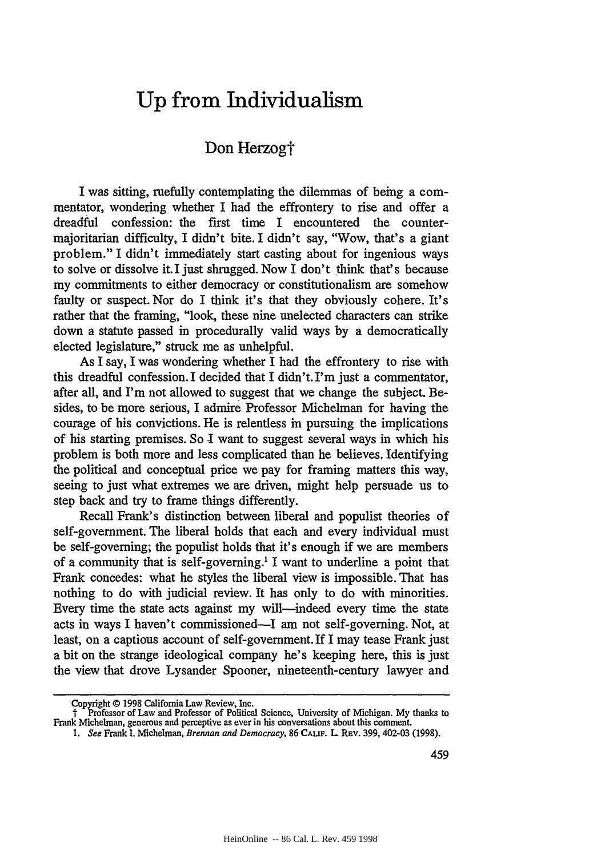# **Up from Individualism**

## Don Herzogt

I was sitting, ruefully contemplating the dilemmas of being a commentator, wondering whether I had the effrontery to rise and offer a dreadful confession: the first time I encountered the countermajoritarian difficulty, I didn't bite. I didn't say, "Wow, that's a giant problem." I didn't immediately start casting about for ingenious ways to solve or dissolve it. I just shrugged. Now I don't think that's because my commitments to either democracy or constitutionalism are somehow faulty or suspect. Nor do I think it's that they obviously cohere. It's rather that the framing, "look, these nine unelected characters can strike down a statute passed in procedurally valid ways by a democratically elected legislature," struck me as unhelpful.

As I say, I was wondering whether I had the effrontery to rise with this dreadful confession. I decided that I didn't. I'm just a commentator, after all, and I'm not allowed to suggest that we change the subject. Besides, to be more serious, I admire Professor Michelman for having the courage of his convictions. He is relentless in pursuing the implications of his starting premises. So **4I** want to suggest several ways in which his problem is both more and less complicated than he believes. Identifying the political and conceptual price we pay for framing matters this way, seeing to just what extremes we are driven, might help persuade us to step back and try to frame things differently.

Recall Frank's distinction between liberal and populist theories of self-government. The liberal holds that each and every individual must be self-governing; the populist holds that it's enough if we are members of a community that is self-governing.' I want to underline a point that Frank concedes: what he styles the liberal view is impossible. That has nothing to do with judicial review. It has only to do with minorities. Every time the state acts against my will-indeed every time the state acts in ways I haven't commissioned-I am not self-governing. Not, at least, on a captious account of self-government. If I may tease Frank just a bit on the strange ideological company he's keeping here, 'this is just the view that drove Lysander Spooner, nineteenth-century lawyer and

Copyright **0 1998** California Law Review, Inc.

t Professor of Law and Professor of Political Science, University of Michigan. My thanks to Frank Michelman, generous and perceptive as ever in his conversations about this comment.

*<sup>1.</sup> See* Frank I. Michelman, *Brennan and Democracy,* 86 **CALIF.** L. REv. 399,402-03 (1998).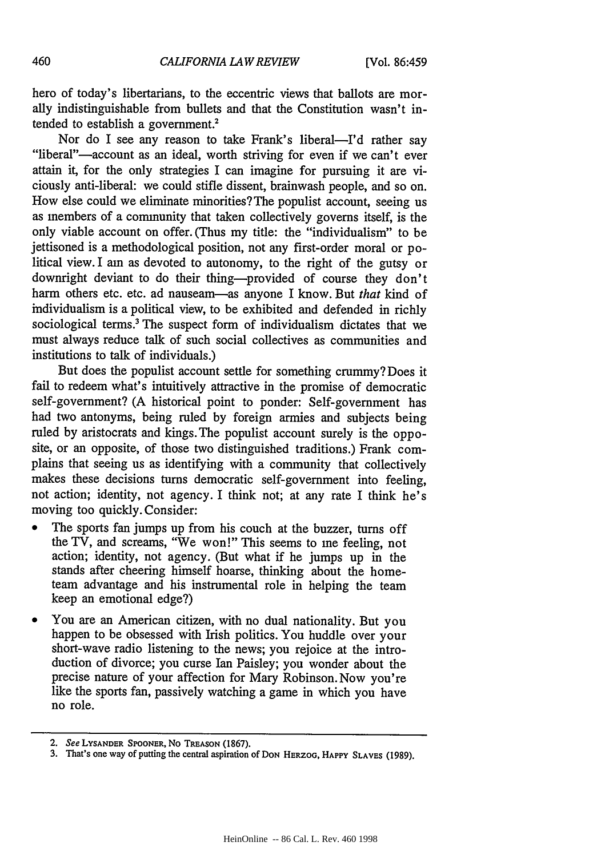hero of today's libertarians, to the eccentric views that ballots are morally indistinguishable from bullets and that the Constitution wasn't intended to establish a government.<sup>2</sup>

Nor do I see any reason to take Frank's liberal-I'd rather say "liberal"-account as an ideal, worth striving for even if we can't ever attain it, for the only strategies I can imagine for pursuing it are viciously anti-liberal: we could stifle dissent, brainwash people, and so on. How else could we eliminate minorities? The populist account, seeing us as members of a community that taken collectively governs itself, is the only viable account on offer. (Thus my title: the "individualism" to be jettisoned is a methodological position, not any first-order moral or political view. I am as devoted to autonomy, to the right of the gutsy or downright deviant to do their thing-provided of course they don't harm others etc. etc. ad nauseam-as anyone I know. But *that* kind of individualism is a political view, to be exhibited and defended in richly sociological terms.<sup>3</sup> The suspect form of individualism dictates that we must always reduce talk of such social collectives as communities and institutions to talk of individuals.)

But does the populist account settle for something crummy? Does it fail to redeem what's intuitively attractive in the promise of democratic self-government? (A historical point to ponder: Self-government has had two antonyms, being ruled by foreign armies and subjects being ruled by aristocrats and kings. The populist account surely is the opposite, or an opposite, of those two distinguished traditions.) Frank complains that seeing us as identifying with a community that collectively makes these decisions turns democratic self-government into feeling, not action; identity, not agency. I think not; at any rate I think he's moving too quickly. Consider:

- The sports fan jumps up from his couch at the buzzer, turns off the TV, and screams, "We won!" This seems to me feeling, not action; identity, not agency. (But what if he jumps up in the stands after cheering himself hoarse, thinking about the hometeam advantage and his instrumental role in helping the team keep an emotional edge?)
- **"** You are an American citizen, with no dual nationality. But you happen to be obsessed with Irish politics. You huddle over your short-wave radio listening to the news; you rejoice at the introduction of divorce; you curse Ian Paisley; you wonder about the precise nature of your affection for Mary Robinson. Now you're like the sports fan, passively watching a game in which you have no role.

*<sup>2.</sup>* See **LYSANDER** SPOONER, **No TREASON** (1867).

<sup>3.</sup> That's one way of putting the central aspiration of **DON** HERZOG, HAPPY **SLAVES** (1989).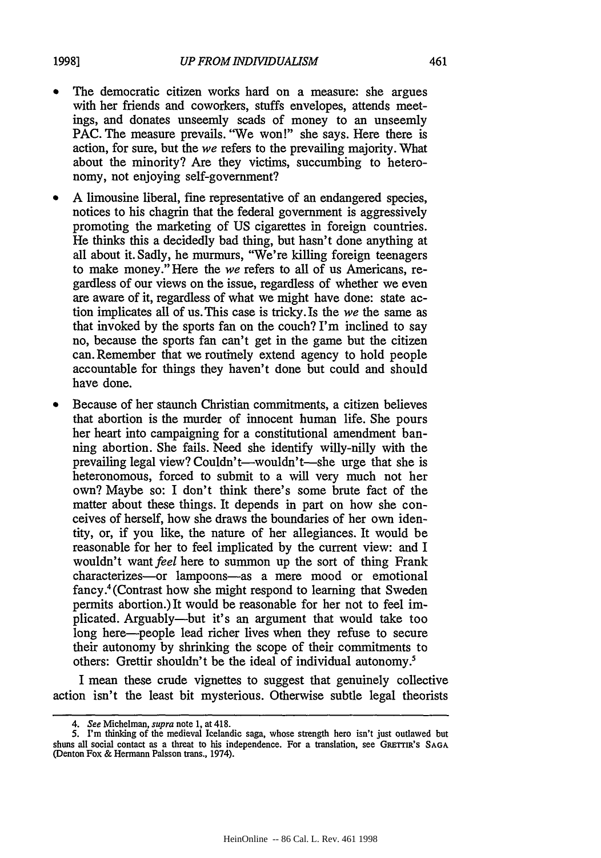- The democratic citizen works hard on a measure: she argues with her friends and coworkers, stuffs envelopes, attends meetings, and donates unseemly scads of money to an unseemly PAC. The measure prevails. "We won!" she says. Here there is action, for sure, but the we refers to the prevailing majority. What about the minority? Are they victims, succumbing to heteronomy, not enjoying self-government?
- **"** A limousine liberal, fine representative of an endangered species, notices to his chagrin that the federal government is aggressively promoting the marketing of US cigarettes in foreign countries. He thinks this a decidedly bad thing, but hasn't done anything at all about it. Sadly, he murmurs, "We're killing foreign teenagers to make money." Here the we refers to all of us Americans, regardless of our views on the issue, regardless of whether we even are aware of it, regardless of what we might have done: state action implicates all of us. This case is tricky. Is the we the same as that invoked by the sports fan on the couch? I'm inclined to say no, because the sports fan can't get in the game but the citizen can. Remember that we routinely extend agency to hold people accountable for things they haven't done but could and should have done.
- **"** Because of her staunch Christian commitments, a citizen believes that abortion is the murder of innocent human life. She pours her heart into campaigning for a constitutional amendment banning abortion. She fails. Need she identify willy-nilly with the prevailing legal view? Couldn't--wouldn't-she urge that she is heteronomous, forced to submit to a will very much not her own? Maybe so: I don't think there's some brute fact of the matter about these things. It depends in part on how she conceives of herself, how she draws the boundaries of her own identity, or, if you like, the nature of her allegiances. It would be reasonable for her to feel implicated by the current view: and I wouldn't want *feel* here to summon up the sort of thing Frank characterizes-or lampoons-as a mere mood or emotional fancy.4 (Contrast how she might respond to learning that Sweden permits abortion.) It would be reasonable for her not to feel implicated. Arguably-but it's an argument that would take too long here—people lead richer lives when they refuse to secure their autonomy by shrinking the scope of their commitments to others: Grettir shouldn't be the ideal of individual autonomy.'

I mean these crude vignettes to suggest that genuinely collective action isn't the least bit mysterious. Otherwise subtle legal theorists

#### **1998]**

*<sup>4.</sup> See* Michelman, *supra* note 1, at 418.

**<sup>5.</sup>** I'm thinking of the medieval Icelandic saga, whose strength hero isn't just outlawed but shuns all social contact as a threat to his independence. For a translation, see GRETTIR's SAGA<br>(Denton Fox & Hermann Palsson trans., 1974).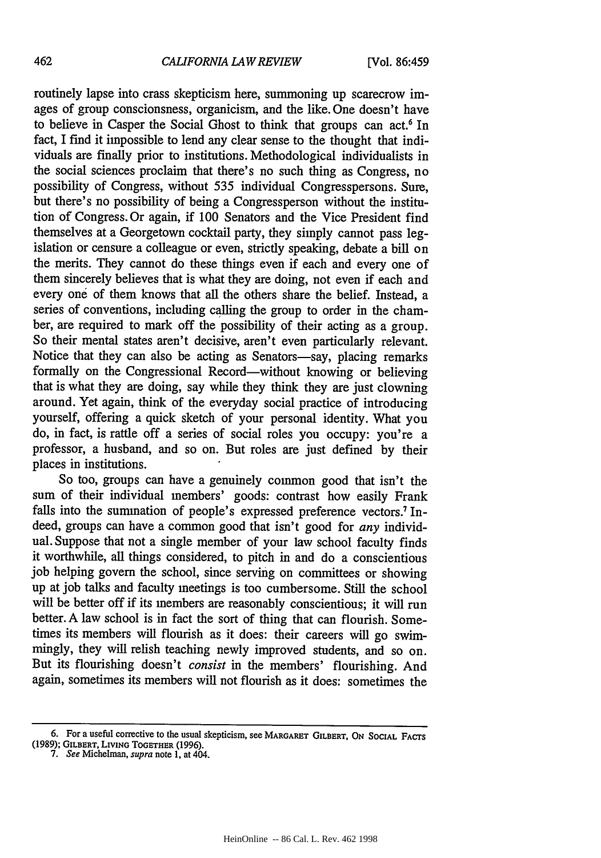routinely lapse into crass skepticism here, summoning up scarecrow images of group conscionsness, organicism, and the like. One doesn't have to believe in Casper the Social Ghost to think that groups can act.<sup>6</sup> In fact, I find it impossible to lend any clear sense to the thought that individuals are finally prior to institutions. Methodological individualists in the social sciences proclaim that there's no such thing as Congress, no possibility of Congress, without 535 individual Congresspersons. Sure, but there's no possibility of being a Congressperson without the institution of Congress. Or again, if 100 Senators and the Vice President find themselves at a Georgetown cocktail party, they simply cannot pass legislation or censure a colleague or even, strictly speaking, debate a bill on the merits. They cannot do these things even if each and every one of them sincerely believes that is what they are doing, not even if each and every one of them knows that all the others share the belief. Instead, a series of conventions, including calling the group to order in the chamber, are required to mark off the possibility of their acting as a group. So their mental states aren't decisive, aren't even particularly relevant. Notice that they can also be acting as Senators-say, placing remarks formally on the Congressional Record-without knowing or believing that is what they are doing, say while they think they are just clowning around. Yet again, think of the everyday social practice of introducing yourself, offering a quick sketch of your personal identity. What you do, in fact, is rattle off a series of social roles you occupy: you're a professor, a husband, and so on. But roles are just defined by their places in institutions.

So too, groups can have a genuinely common good that isn't the sum of their individual members' goods: contrast how easily Frank falls into the summation of people's expressed preference vectors.7 Indeed, groups can have a common good that isn't good for *any* individual. Suppose that not a single member of your law school faculty finds it worthwhile, all things considered, to pitch in and do a conscientious job helping govern the school, since serving on committees or showing up at job talks and faculty meetings is too cumbersome. Still the school will be better off if its members are reasonably conscientious; it will run better. A law school is in fact the sort of thing that can flourish. Sometimes its members will flourish as it does: their careers will go swimmingly, they will relish teaching newly improved students, and so on. But its flourishing doesn't *consist* in the members' flourishing. And again, sometimes its members will not flourish as it does: sometimes the

**<sup>6.</sup>** For a useful corrective to the usual skepticism, see **MARGARET GILBERT, ON SOCIAL FACTS** (1989); **GILBERT,** LIVING **TOGETHER** (1996). *7. See* Michelman, *supra* note **1,** at 404.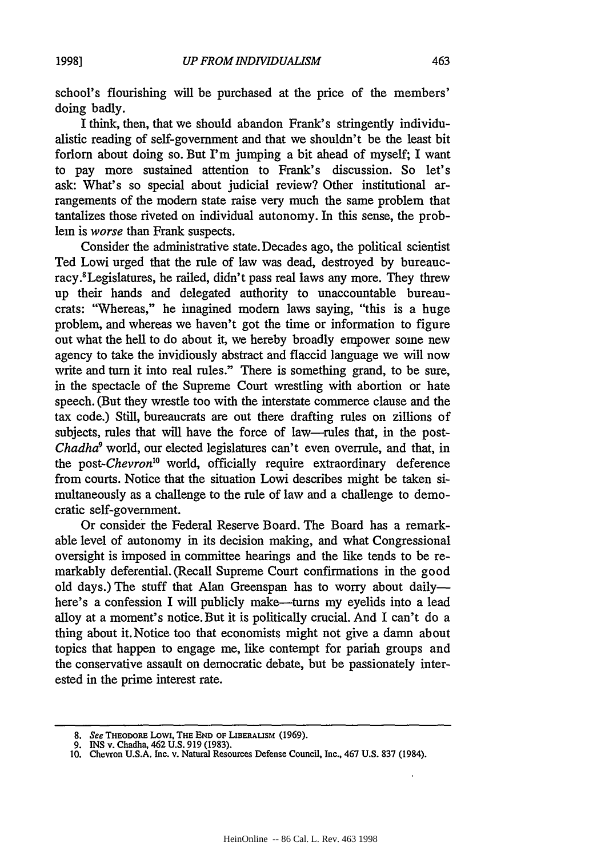school's flourishing will be purchased at the price of the members' doing badly.

I think, then, that we should abandon Frank's stringently individualistic reading of self-government and that we shouldn't be the least bit forlorn about doing so. But I'm jumping a bit ahead of myself; I want to pay more sustained attention to Frank's discussion. So let's ask: What's so special about judicial review? Other institutional arrangements of the modem state raise very much the same problem that tantalizes those riveted on individual autonomy. In this sense, the problem is worse than Frank suspects.

Consider the administrative state. Decades ago, the political scientist Ted Lowi urged that the rule of law was dead, destroyed by bureaucracy.<sup>8</sup>Legislatures, he railed, didn't pass real laws any more. They threw up their hands and delegated authority to unaccountable bureaucrats: "Whereas," he imagined modem laws saying, "this is a huge problem, and whereas we haven't got the time or information to figure out what the hell to do about it, we hereby broadly empower some new agency to take the invidiously abstract and flaccid language we will now write and turn it into real rules." There is something grand, to be sure, in the spectacle of the Supreme Court wrestling with abortion or hate speech. (But they wrestle too with the interstate commerce clause and the tax code.) Still, bureaucrats are out there drafting rules on zillions of subjects, rules that will have the force of law-rules that, in the post-*Chadha9* world, our elected legislatures can't even overrule, and that, in the *post-Chevron°* world, officially require extraordinary deference from courts. Notice that the situation Lowi describes might be taken simultaneously as a challenge to the rule of law and a challenge to democratic self-government.

Or consider the Federal Reserve Board. The Board has a remarkable level of autonomy in its decision making, and what Congressional oversight is imposed in committee hearings and the like tends to be remarkably deferential. (Recall Supreme Court confirmations in the good old days.) The stuff that Alan Greenspan has to worry about dailyhere's a confession I will publicly make—turns my eyelids into a lead alloy at a moment's notice. But it is politically crucial. And I can't do a thing about it. Notice too that economists might not give a damn about topics that happen to engage me, like contempt for pariah groups and the conservative assault on democratic debate, but be passionately interested in the prime interest rate.

**1998]**

<sup>8.</sup> See Theodore Lowi, The END or Liberalism (1969).<br>9. INS v. Chadha, 462 U.S. 919 (1983).<br>10. Chevron U.S.A. Inc. v. Natural Resources Defense Council, Inc., 467 U.S. 837 (1984).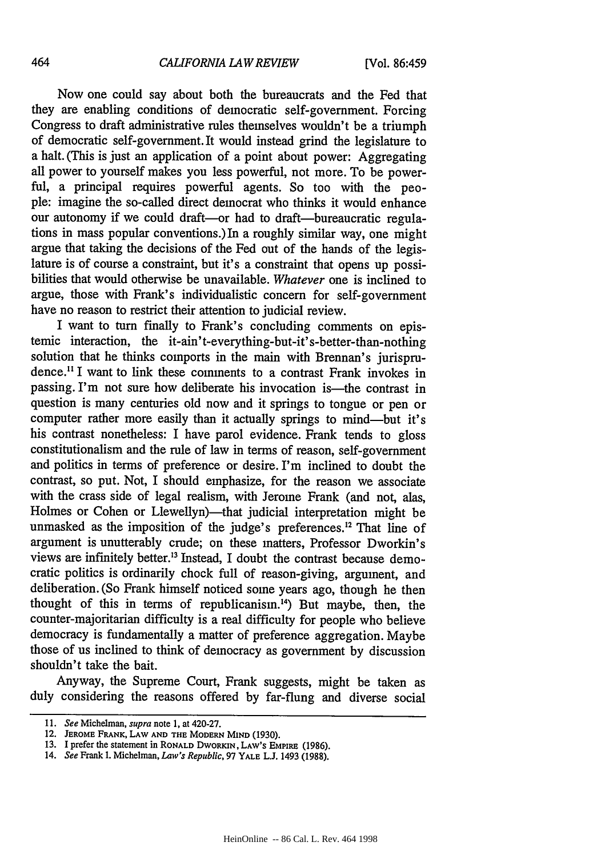Now one could say about both the bureaucrats and the Fed that they are enabling conditions of democratic self-government. Forcing Congress to draft administrative rules themselves wouldn't be a triumph of democratic self-government. It would instead grind the legislature to a halt. (This is just an application of a point about power: Aggregating all power to yourself makes you less powerful, not more. To be powerful, a principal requires powerful agents. So too with the people: imagine the so-called direct democrat who thinks it would enhance our autonomy if we could draft-or had to draft-bureaucratic regulations in mass popular conventions.) In a roughly similar way, one might argue that taking the decisions of the Fed out of the hands of the legislature is of course a constraint, but it's a constraint that opens up possibilities that would otherwise be unavailable. *Whatever* one is inclined to argue, those with Frank's individualistic concern for self-government have no reason to restrict their attention to judicial review.

I want to turn finally to Frank's concluding comments on epistemic interaction, the it-ain't-everything-but-it's-better-than-nothing solution that he thinks comports in the main with Brennan's jurisprudence.<sup>11</sup> I want to link these comments to a contrast Frank invokes in passing. I'm not sure how deliberate his invocation is—the contrast in question is many centuries old now and it springs to tongue or pen or computer rather more easily than it actually springs to mind—but it's his contrast nonetheless: I have parol evidence. Frank tends to gloss constitutionalism and the rule of law in terms of reason, self-government and politics in terms of preference or desire. I'm inclined to doubt the contrast, so put. Not, I should emphasize, for the reason we associate with the crass side of legal realism, with Jerome Frank (and not, alas, Holmes or Cohen or Llewellyn)—that judicial interpretation might be unmasked as the imposition of the judge's preferences.<sup>12</sup> That line of argument is unutterably crude; on these matters, Professor Dworkin's views are infinitely better.<sup>13</sup> Instead, I doubt the contrast because democratic politics is ordinarily chock full of reason-giving, argument, and deliberation. (So Frank himself noticed some years ago, though he then thought of this in terms of republicanism. 4) But maybe, then, the counter-majoritarian difficulty is a real difficulty for people who believe democracy is fundamentally a matter of preference aggregation. Maybe those of us inclined to think of democracy as government by discussion shouldn't take the bait.

Anyway, the Supreme Court, Frank suggests, might be taken as duly considering the reasons offered by far-flung and diverse social

*<sup>11.</sup> See* Michelman, *supra* note **1,** at 420-27.

**<sup>12.</sup>** JEROME **FRANK, LAW AND THE** MODERN **MIND (1930).**

**<sup>13.</sup> I** prefer the statement in RONALD **DWORKIN,** LAW'S EMPIRE **(1986).**

<sup>14.</sup> *See* Frank I. Michelman, *Law's Republic,* **97** YALE **L.J.** 1493 **(1988).**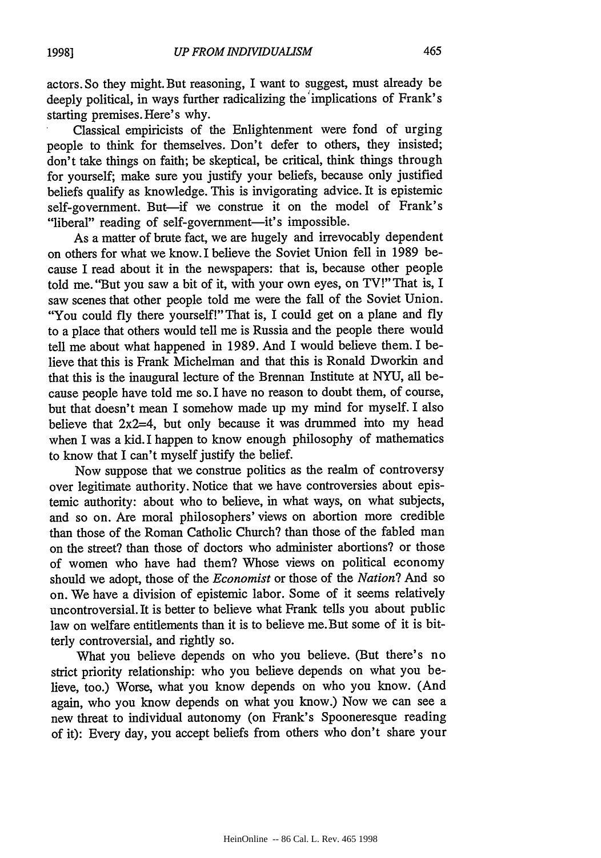actors. So they might. But reasoning, I want to suggest, must already be deeply political, in ways further radicalizing the 'implications of Frank's starting premises. Here's why.

Classical empiricists of the Enlightenment were fond of urging people to think for themselves. Don't defer to others, they insisted; don't take things on faith; be skeptical, be critical, think things through for yourself; make sure you justify your beliefs, because only justified beliefs qualify as knowledge. This is invigorating advice. It is epistemic self-government. But-if we construe it on the model of Frank's "liberal" reading of self-government-it's impossible.

As a matter of brute fact, we are hugely and irrevocably dependent on others for what we know. I believe the Soviet Union fell in 1989 because I read about it in the newspapers: that is, because other people told me. "But you saw a bit of it, with your own eyes, on TV!" That is, I saw scenes that other people told me were the fall of the Soviet Union. "You could fly there yourself!" That is, I could get on a plane and fly to a place that others would tell me is Russia and the people there would tell me about what happened in 1989. And I would believe them. I believe that this is Frank Michelman and that this is Ronald Dworkin and that this is the inaugural lecture of the Brennan Institute at NYU, all because people have told me so. I have no reason to doubt them, of course, but that doesn't mean I somehow made up my mind for myself. I also believe that 2x2=4, but only because it was drummed into my head when I was a kid. I happen to know enough philosophy of mathematics to know that I can't myself justify the belief.

Now suppose that we construe politics as the realm of controversy over legitimate authority. Notice that we have controversies about epistemic authority: about who to believe, in what ways, on what subjects, and so on. Are moral philosophers' views on abortion more credible than those of the Roman Catholic Church? than those of the fabled man on the street? than those of doctors who administer abortions? or those of women who have had them? Whose views on political economy should we adopt, those of the *Economist* or those of the *Nation?* And so on. We have a division of epistemic labor. Some of it seems relatively uncontroversial. It is better to believe what Frank tells you about public law on welfare entitlements than it is to believe me. But some of it is bitterly controversial, and rightly so.

What you believe depends on who you believe. (But there's no strict priority relationship: who you believe depends on what you believe, too.) Worse, what you know depends on who you know. (And again, who you know depends on what you know.) Now we can see a new threat to individual autonomy (on Frank's Spooneresque reading of it): Every day, you accept beliefs from others who don't share your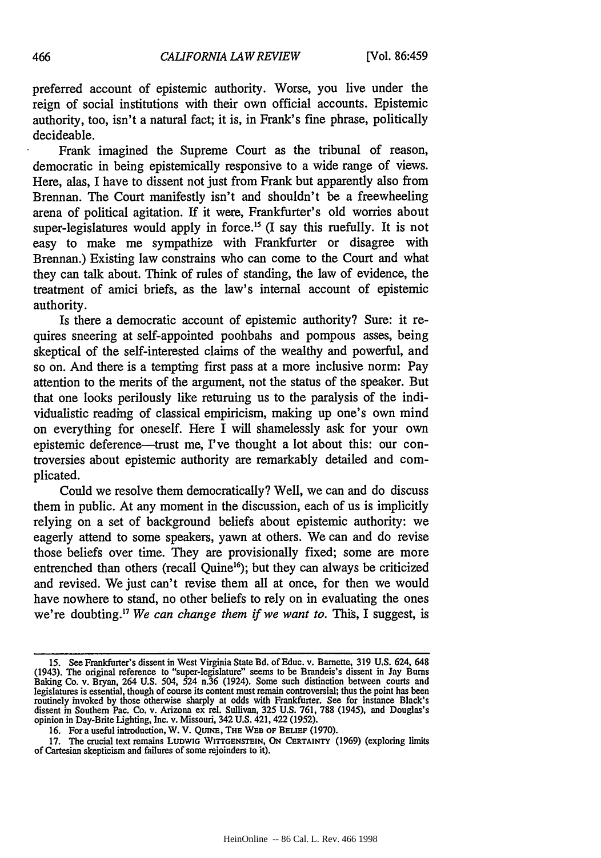preferred account of epistemic authority. Worse, you live under the reign of social institutions with their own official accounts. Epistemic authority, too, isn't a natural fact; it is, in Frank's fine phrase, politically decideable.

Frank imagined the Supreme Court as the tribunal of reason, democratic in being epistemically responsive to a wide range of views. Here, alas, I have to dissent not just from Frank but apparently also from Brennan. The Court manifestly isn't and shouldn't be a freewheeling arena of political agitation. If it were, Frankfurter's old worries about super-legislatures would apply in force.<sup>15</sup> (I say this ruefully. It is not easy to make me sympathize with Frankfurter or disagree with Brennan.) Existing law constrains who can come to the Court and what they can talk about. Think of rules of standing, the law of evidence, the treatment of amici briefs, as the law's internal account of epistemic authority.

Is there a democratic account of epistemic authority? Sure: it requires sneering at self-appointed poohbahs and pompous asses, being skeptical of the self-interested claims of the wealthy and powerful, and so on. And there is a tempting first pass at a more inclusive norm: Pay attention to the merits of the argument, not the status of the speaker. But that one looks perilously like returning us to the paralysis of the individualistic reading of classical empiricism, making up one's own mind on everything for oneself. Here I will shamelessly ask for your own epistemic deference-trust me, I've thought a lot about this: our controversies about epistemic authority are remarkably detailed and complicated.

Could we resolve them democratically? Well, we can and do discuss them in public. At any moment in the discussion, each of us is implicitly relying on a set of background beliefs about epistemic authority: we eagerly attend to some speakers, yawn at others. We can and do revise those beliefs over time. They are provisionally fixed; some are more entrenched than others (recall Quine'6); but they can always be criticized and revised. We just can't revise them all at once, for then we would have nowhere to stand, no other beliefs to rely on in evaluating the ones we're doubting.<sup>17</sup> We can change them if we want to. This, I suggest, is

**<sup>15.</sup>** See Frankfurter's dissent in West Virginia State Bd. of Educ. v. Barnette, **319 U.S.** 624, 648 (1943). The original reference to "super-legislature" seems to be Brandeis's dissent in Jay Burns<br>Baking Co. v. Bryan, 264 U.S. 504, 524 n.36 (1924). Some such distinction between courts and<br>legislatures is essential, thou routinely invoked by those otherwise sharply at odds with Frankfurter. See for instance Black's dissent in Southern Pac. Co. v. Arizona ex rel. Sullivan, 325 **U.S.** 761, 788 (1945), and Douglas's opinion in Day-Brite Lighting, Inc. v. Missouri, 342 **U.S.** 421,422 (1952).

<sup>16.</sup> For a useful introduction, W. V. QUINE, THE WEB OF BELIEF (1970).

<sup>17.</sup> The crucial text remains **LuDWIG** WITTGENsTEIN, ON **CERTAINTY** (1969) (exploring limits of Cartesian skepticism and failures of some rejoinders to it).